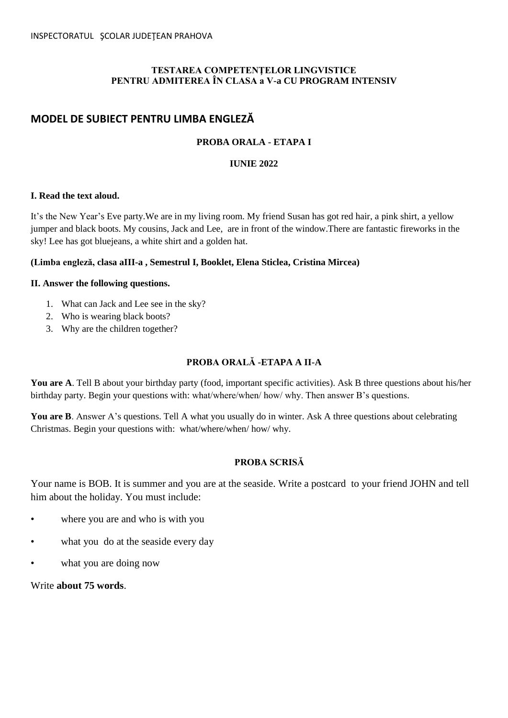### **TESTAREA COMPETENŢELOR LINGVISTICE PENTRU ADMITEREA ÎN CLASA a V-a CU PROGRAM INTENSIV**

# **MODEL DE SUBIECT PENTRU LIMBA ENGLEZĂ**

## **PROBA ORALA - ETAPA I**

### **IUNIE 2022**

### **I. Read the text aloud.**

It's the New Year's Eve party.We are in my living room. My friend Susan has got red hair, a pink shirt, a yellow jumper and black boots. My cousins, Jack and Lee, are in front of the window.There are fantastic fireworks in the sky! Lee has got bluejeans, a white shirt and a golden hat.

### **(Limba engleză, clasa aIII-a , Semestrul I, Booklet, Elena Sticlea, Cristina Mircea)**

#### **II. Answer the following questions.**

- 1. What can Jack and Lee see in the sky?
- 2. Who is wearing black boots?
- 3. Why are the children together?

## **PROBA ORALĂ -ETAPA A II-A**

**You are A**. Tell B about your birthday party (food, important specific activities). Ask B three questions about his/her birthday party. Begin your questions with: what/where/when/ how/ why. Then answer B's questions.

**You are B**. Answer A's questions. Tell A what you usually do in winter. Ask A three questions about celebrating Christmas. Begin your questions with: what/where/when/ how/ why.

### **PROBA SCRISĂ**

Your name is BOB. It is summer and you are at the seaside. Write a postcard to your friend JOHN and tell him about the holiday. You must include:

- where you are and who is with you
- what you do at the seaside every day
- what you are doing now

Write **about 75 words**.